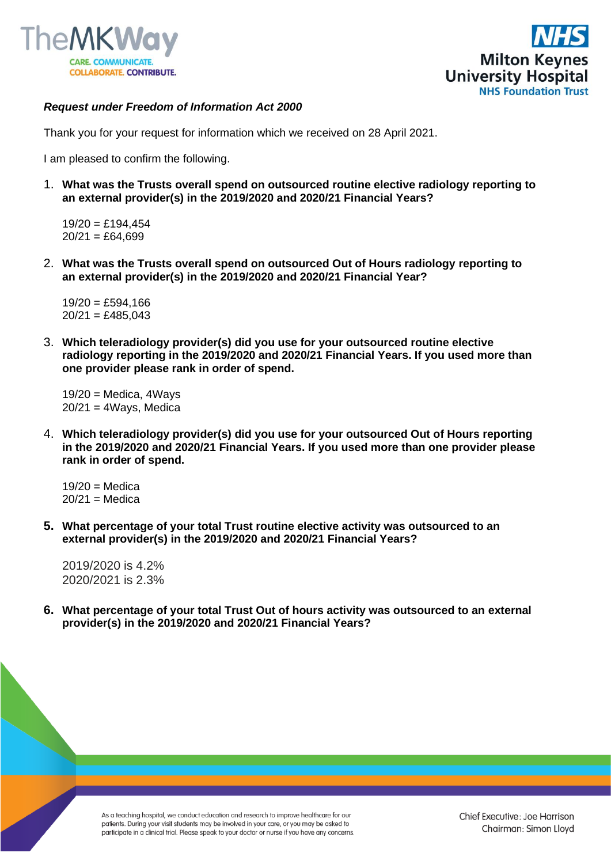



## *Request under Freedom of Information Act 2000*

Thank you for your request for information which we received on 28 April 2021.

I am pleased to confirm the following.

1. **What was the Trusts overall spend on outsourced routine elective radiology reporting to an external provider(s) in the 2019/2020 and 2020/21 Financial Years?**

 $19/20 =$ £194.454  $20/21 = \text{\pounds}64.699$ 

2. **What was the Trusts overall spend on outsourced Out of Hours radiology reporting to an external provider(s) in the 2019/2020 and 2020/21 Financial Year?**

 $19/20 =$  £594,166  $20/21 = £485.043$ 

3. **Which teleradiology provider(s) did you use for your outsourced routine elective radiology reporting in the 2019/2020 and 2020/21 Financial Years. If you used more than one provider please rank in order of spend.**

 $19/20$  = Medica, 4Ways  $20/21 = 4W$ ays, Medica

4. **Which teleradiology provider(s) did you use for your outsourced Out of Hours reporting in the 2019/2020 and 2020/21 Financial Years. If you used more than one provider please rank in order of spend.**

 $19/20$  = Medica  $20/21$  = Medica

**5. What percentage of your total Trust routine elective activity was outsourced to an external provider(s) in the 2019/2020 and 2020/21 Financial Years?**

2019/2020 is 4.2% 2020/2021 is 2.3%

**6. What percentage of your total Trust Out of hours activity was outsourced to an external provider(s) in the 2019/2020 and 2020/21 Financial Years?**

> As a teaching hospital, we conduct education and research to improve healthcare for our patients. During your visit students may be involved in your care, or you may be asked to participate in a clinical trial. Please speak to your doctor or nurse if you have any concerns.